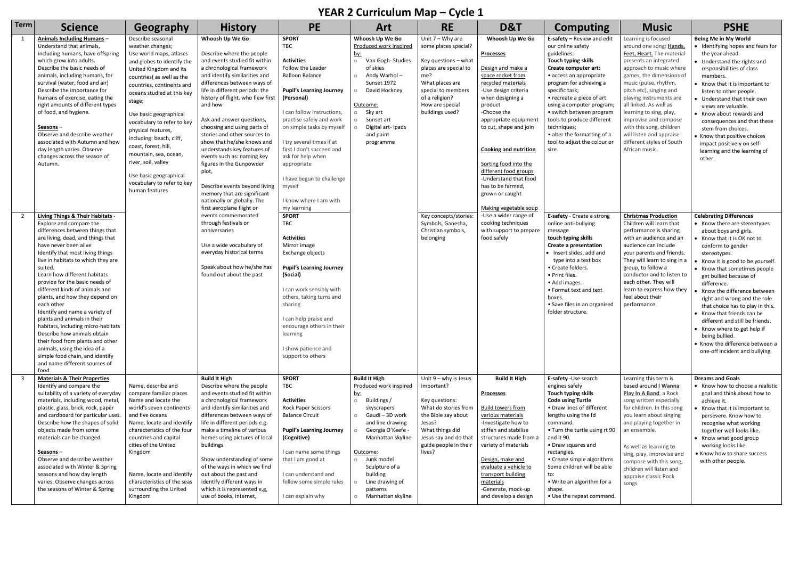## **YEAR 2 Curriculum Map – Cycle 1**

| Term | <b>Science</b>                                                                                                                         | Geography                                                                                               | <b>History</b>                                                                                                               | <b>PE</b>                                                                               | <b>Art</b>                                                                                    | <b>RE</b>                                                                     | D&T                                                                                           | <b>Computing</b>                                                                                      | <b>Music</b>                                                                                                 | <b>PSHE</b>                                                                                                                       |
|------|----------------------------------------------------------------------------------------------------------------------------------------|---------------------------------------------------------------------------------------------------------|------------------------------------------------------------------------------------------------------------------------------|-----------------------------------------------------------------------------------------|-----------------------------------------------------------------------------------------------|-------------------------------------------------------------------------------|-----------------------------------------------------------------------------------------------|-------------------------------------------------------------------------------------------------------|--------------------------------------------------------------------------------------------------------------|-----------------------------------------------------------------------------------------------------------------------------------|
| 1    | Animals Including Humans-<br>Understand that animals,<br>including humans, have offspring                                              | Describe seasonal<br>weather changes;<br>Use world maps, atlases                                        | Whoosh Up We Go<br>Describe where the people                                                                                 | <b>SPORT</b><br>TBC                                                                     | Whoosh Up We Go<br>Produced work inspired<br><u>by:</u>                                       | Unit $7 - Why$ are<br>some places special?                                    | Whoosh Up We Go<br><b>Processes</b>                                                           | E-safety - Review and edit<br>our online safety<br>guidelines.                                        | Learning is focused<br>around one song: Hands,<br>Feet, Heart. The material                                  | Being Me in My World<br>• Identifying hopes and fears for<br>the year ahead.                                                      |
|      | which grow into adults.<br>Describe the basic needs of<br>animals, including humans, for                                               | and globes to identify the<br>United Kingdom and its<br>countries(as well as the                        | and events studied fit within<br>a chronological framework<br>and identify similarities and                                  | <b>Activities</b><br>Follow the Leader<br><b>Balloon Balance</b>                        | Van Gogh-Studies<br>$\circ$<br>of skies<br>Andy Warhol-<br>$\circ$                            | Key questions - what<br>places are special to<br>me?                          | Design and make a<br>space rocket from                                                        | Touch typing skills<br>Create computer art:<br>• access an appropriate                                | presents an integrated<br>approach to music where<br>games, the dimensions of                                | • Understand the rights and<br>responsibilities of class<br>members.                                                              |
|      | survival (water, food and air)<br>Describe the importance for<br>humans of exercise, eating the<br>right amounts of different types    | countries, continents and<br>oceans studied at this key<br>stage;                                       | differences between ways of<br>life in different periods: the<br>history of flight, who flew first<br>and how                | <b>Pupil's Learning Journey</b><br>(Personal)                                           | Sunset 1972<br>David Hockney<br>$\circ$<br>Outcome:                                           | What places are<br>special to members<br>of a religion?<br>How are special    | recycled materials<br>-Use design criteria<br>when designing a<br>product                     | program for achieving a<br>specific task;<br>• recreate a piece of art<br>using a computer program;   | music (pulse, rhythm,<br>pitch etc), singing and<br>playing instruments are<br>all linked. As well as        | • Know that it is important to<br>listen to other people.<br>• Understand that their own<br>views are valuable.                   |
|      | of food, and hygiene.<br>Seasons –<br>Observe and describe weather                                                                     | Use basic geographical<br>vocabulary to refer to key<br>physical features,                              | Ask and answer questions,<br>choosing and using parts of<br>stories and other sources to                                     | I can follow instructions,<br>practise safely and work<br>on simple tasks by myself     | Sky art<br>$\circ$<br>Sunset art<br>$\circ$<br>Digital art-ipads<br>and paint                 | buildings used?                                                               | -Choose the<br>appropriate equipment<br>to cut, shape and join                                | • switch between program<br>tools to produce different<br>techniques;<br>• alter the formatting of a  | learning to sing, play,<br>improvise and compose<br>with this song, children<br>will listen and appraise     | • Know about rewards and<br>consequences and that these<br>stem from choices.                                                     |
|      | associated with Autumn and how<br>day length varies. Observe<br>changes across the season of                                           | including: beach, cliff,<br>coast, forest, hill,<br>mountain, sea, ocean,                               | show that he/she knows and<br>understands key features of<br>events such as: naming key                                      | I try several times if at<br>first I don't succeed and<br>ask for help when             | programme                                                                                     |                                                                               | <b>Cooking and nutrition</b>                                                                  | tool to adjust the colour or<br>size.                                                                 | different styles of South<br>African music.                                                                  | • Know that positive choices<br>impact positively on self-<br>learning and the learning of<br>other.                              |
|      | Autumn.                                                                                                                                | river, soil, valley<br>Use basic geographical<br>vocabulary to refer to key                             | figures in the Gunpowder<br>plot,<br>Describe events beyond living                                                           | appropriate<br>I have begun to challenge<br>myself                                      |                                                                                               |                                                                               | Sorting food into the<br>different food groups<br>-Understand that food<br>has to be farmed,  |                                                                                                       |                                                                                                              |                                                                                                                                   |
|      |                                                                                                                                        | human features                                                                                          | memory that are significant<br>nationally or globally. The<br>first aeroplane flight or                                      | I know where I am with<br>my learning                                                   |                                                                                               |                                                                               | grown or caught<br>Making vegetable soup                                                      |                                                                                                       |                                                                                                              |                                                                                                                                   |
| 2    | Living Things & Their Habitats -<br>Explore and compare the<br>differences between things that<br>are living, dead, and things that    |                                                                                                         | events commemorated<br>through festivals or<br>anniversaries                                                                 | <b>SPORT</b><br><b>TBC</b><br><b>Activities</b>                                         |                                                                                               | Key concepts/stories:<br>Symbols, Ganesha,<br>Christian symbols,<br>belonging | -Use a wider range of<br>cooking techniques<br>with support to prepare<br>food safely         | E-safety - Create a strong<br>online anti-bullying<br>message<br>touch typing skills                  | <b>Christmas Production</b><br>Children will learn that<br>performance is sharing<br>with an audience and an | <b>Celebrating Differences</b><br>• Know there are stereotypes<br>about boys and girls.<br>• Know that it is OK not to            |
|      | have never been alive<br>Identify that most living things<br>live in habitats to which they are<br>suited.                             |                                                                                                         | Use a wide vocabulary of<br>everyday historical terms<br>Speak about how he/she has                                          | Mirror image<br>Exchange objects<br><b>Pupil's Learning Journey</b>                     |                                                                                               |                                                                               |                                                                                               | <b>Create a presentation</b><br>• Insert slides, add and<br>type into a text box<br>• Create folders. | audience can include<br>your parents and friends.<br>They will learn to sing in a<br>group, to follow a      | conform to gender<br>stereotypes.<br>• Know it is good to be yourself.                                                            |
|      | Learn how different habitats<br>provide for the basic needs of<br>different kinds of animals and                                       |                                                                                                         | found out about the past                                                                                                     | (Social)<br>I can work sensibly with                                                    |                                                                                               |                                                                               |                                                                                               | • Print files.<br>• Add images.<br>• Format text and text                                             | conductor and to listen to<br>each other. They will<br>learn to express how they                             | • Know that sometimes people<br>get bullied because of<br>difference.<br>Know the difference between                              |
|      | plants, and how they depend on<br>each other<br>Identify and name a variety of<br>plants and animals in their                          |                                                                                                         |                                                                                                                              | others, taking turns and<br>sharing<br>I can help praise and                            |                                                                                               |                                                                               |                                                                                               | boxes.<br>• Save files in an organised<br>folder structure.                                           | feel about their<br>performance.                                                                             | right and wrong and the role<br>that choice has to play in this.<br>• Know that friends can be<br>different and still be friends. |
|      | habitats, including micro-habitats<br>Describe how animals obtain<br>their food from plants and other<br>animals, using the idea of a  |                                                                                                         |                                                                                                                              | encourage others in their<br>learning<br>I show patience and                            |                                                                                               |                                                                               |                                                                                               |                                                                                                       |                                                                                                              | • Know where to get help if<br>being bullied.<br>• Know the difference between a<br>one-off incident and bullying.                |
|      | simple food chain, and identify<br>and name different sources of<br>food<br><b>Materials &amp; Their Properties</b>                    |                                                                                                         | <b>Build It High</b>                                                                                                         | support to others<br><b>SPORT</b>                                                       | <b>Build It High</b>                                                                          | Unit $9 -$ why is Jesus                                                       | <b>Build It High</b>                                                                          | E-safety -Use search                                                                                  | Learning this term is                                                                                        | <b>Dreams and Goals</b>                                                                                                           |
|      | Identify and compare the<br>suitability of a variety of everyday<br>materials, including wood, metal,                                  | Name, describe and<br>compare familiar places<br>Name and locate the                                    | Describe where the people<br>and events studied fit within<br>a chronological framework                                      | TBC<br><b>Activities</b>                                                                | Produced work inspired<br><u>by:</u><br>Buildings /<br>$\circ$                                | important?<br>Key questions:                                                  | <b>Processes</b>                                                                              | engines safely<br>Touch typing skills<br><b>Code using Turtle</b>                                     | based around I Wanna<br>Play In A Band, a Rock<br>song written especially                                    | • Know how to choose a realistic<br>goal and think about how to<br>achieve it.                                                    |
|      | plastic, glass, brick, rock, paper<br>and cardboard for particular uses.<br>Describe how the shapes of solid<br>objects made from some | world's seven continents<br>and five oceans<br>Name, locate and identify<br>characteristics of the four | and identify similarities and<br>differences between ways of<br>life in different periods e.g.<br>make a timeline of various | <b>Rock Paper Scissors</b><br><b>Balance Circuit</b><br><b>Pupil's Learning Journey</b> | skyscrapers<br>Gaudi - 3D work<br>$\circ$<br>and line drawing<br>Georgia O'Keefe -<br>$\circ$ | What do stories from<br>the Bible say about<br>Jesus?<br>What things did      | <b>Build towers from</b><br>various materials<br>-Investigate how to<br>stiffen and stabilise | • Draw lines of different<br>lengths using the fd<br>command.<br>• Turn the turtle using rt 90        | for children. In this song<br>you learn about singing<br>and playing together in<br>an ensemble.             | Know that it is important to<br>persevere. Know how to<br>recognise what working<br>together well looks like.                     |
|      | materials can be changed.<br><u>Seasons</u> –                                                                                          | countries and capital<br>cities of the United<br>Kingdom                                                | homes using pictures of local<br>buildings                                                                                   | (Cognitive)<br>I can name some things                                                   | Manhattan skyline<br>Outcome:                                                                 | Jesus say and do that<br>guide people in their<br>lives?                      | structures made from a<br>variety of materials                                                | and It 90.<br>• Draw squares and<br>rectangles.                                                       | As well as learning to<br>sing, play, improvise and                                                          | • Know what good group<br>working looks like.<br>• Know how to share success                                                      |
|      | Observe and describe weather<br>associated with Winter & Spring<br>seasons and how day length<br>varies. Observe changes across        | Name, locate and identify<br>characteristics of the seas                                                | Show understanding of some<br>of the ways in which we find<br>out about the past and<br>identify different ways in           | that I am good at<br>I can understand and<br>follow some simple rules                   | o Junk model<br>Sculpture of a<br>building<br>Line drawing of                                 |                                                                               | Design, make and<br>evaluate a vehicle to<br>transport building<br>materials                  | • Create simple algorithms<br>Some children will be able<br>to:<br>• Write an algorithm for a         | compose with this song,<br>children will listen and<br>appraise classic Rock<br>songs                        | with other people.                                                                                                                |
|      | the seasons of Winter & Spring                                                                                                         | surrounding the United<br>Kingdom                                                                       | which it is represented e,g,<br>use of books, internet,                                                                      | I can explain why                                                                       | patterns<br>Manhattan skyline<br>$\circ$                                                      |                                                                               | -Generate, mock-up<br>and develop a design                                                    | shape.<br>• Use the repeat command.                                                                   |                                                                                                              |                                                                                                                                   |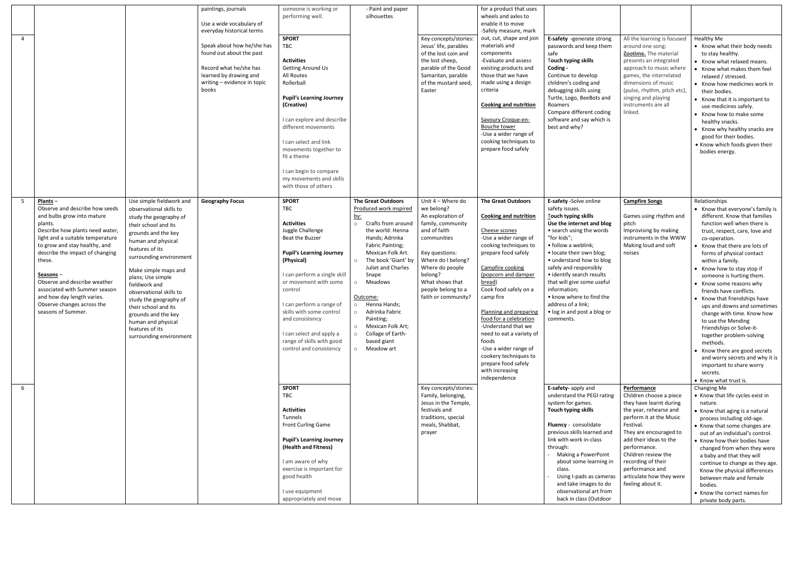|                |                                                                                                                                                                                                                                                                                                                                                                                                                   |                                                                                                                                                                                                                                                                                                                                                                                                                                        | paintings, journals<br>Use a wide vocabulary of                                                                                                                                 | someone is working or<br>performing well                                                                                                                                                                                                                                                                                                                            | - Paint and paper<br>silhouettes                                                                                                                                                                                                                                                                                                                                                                                                                         |                                                                                                                                                                                                                                                | for a product that uses<br>wheels and axles to<br>enable it to move                                                                                                                                                                                                                                                                                                                                                                                                        |                                                                                                                                                                                                                                                                                                                                                                                                                           |                                                                                                                                                                                                                                                                                                                                 |                                                                                                                                                                                                                                                                                                                                                                                                                                                                                                                                                                                                                                                                                                    |
|----------------|-------------------------------------------------------------------------------------------------------------------------------------------------------------------------------------------------------------------------------------------------------------------------------------------------------------------------------------------------------------------------------------------------------------------|----------------------------------------------------------------------------------------------------------------------------------------------------------------------------------------------------------------------------------------------------------------------------------------------------------------------------------------------------------------------------------------------------------------------------------------|---------------------------------------------------------------------------------------------------------------------------------------------------------------------------------|---------------------------------------------------------------------------------------------------------------------------------------------------------------------------------------------------------------------------------------------------------------------------------------------------------------------------------------------------------------------|----------------------------------------------------------------------------------------------------------------------------------------------------------------------------------------------------------------------------------------------------------------------------------------------------------------------------------------------------------------------------------------------------------------------------------------------------------|------------------------------------------------------------------------------------------------------------------------------------------------------------------------------------------------------------------------------------------------|----------------------------------------------------------------------------------------------------------------------------------------------------------------------------------------------------------------------------------------------------------------------------------------------------------------------------------------------------------------------------------------------------------------------------------------------------------------------------|---------------------------------------------------------------------------------------------------------------------------------------------------------------------------------------------------------------------------------------------------------------------------------------------------------------------------------------------------------------------------------------------------------------------------|---------------------------------------------------------------------------------------------------------------------------------------------------------------------------------------------------------------------------------------------------------------------------------------------------------------------------------|----------------------------------------------------------------------------------------------------------------------------------------------------------------------------------------------------------------------------------------------------------------------------------------------------------------------------------------------------------------------------------------------------------------------------------------------------------------------------------------------------------------------------------------------------------------------------------------------------------------------------------------------------------------------------------------------------|
| $\overline{4}$ |                                                                                                                                                                                                                                                                                                                                                                                                                   |                                                                                                                                                                                                                                                                                                                                                                                                                                        | everyday historical terms<br>Speak about how he/she has<br>found out about the past<br>Record what he/she has<br>learned by drawing and<br>writing - evidence in topic<br>books | <b>SPORT</b><br>TBC<br><b>Activities</b><br><b>Getting Around Us</b><br>All Routes<br>Rollerball<br><b>Pupil's Learning Journey</b><br>(Creative)<br>I can explore and describe<br>different movements<br>I can select and link<br>movements together to<br>fit a theme                                                                                             |                                                                                                                                                                                                                                                                                                                                                                                                                                                          | Key concepts/stories:<br>Jesus' life, parables<br>of the lost coin and<br>the lost sheep,<br>parable of the Good<br>Samaritan, parable<br>of the mustard seed.<br>Easter                                                                       | -Safely measure, mark<br>out, cut, shape and join<br>materials and<br>components<br>-Evaluate and assess<br>existing products and<br>those that we have<br>made using a design<br>criteria<br><b>Cooking and nutrition</b><br>Savoury Croque-en-<br>Bouche tower<br>-Use a wider range of<br>cooking techniques to<br>prepare food safely                                                                                                                                  | E-safety -generate strong<br>passwords and keep them<br>safe<br>Touch typing skills<br>Coding -<br>Continue to develop<br>children's coding and<br>debugging skills using<br>Turtle, Logo, BeeBots and<br>Roamers<br>Compare different coding<br>software and say which is<br>best and why?                                                                                                                               | All the learning is focused<br>around one song:<br>Zootime. The material<br>presents an integrated<br>approach to music where<br>games, the interrelated<br>dimensions of music<br>(pulse, rhythm, pitch etc),<br>singing and playing<br>instruments are all<br>linked.                                                         | Healthy Me<br>• Know what their body needs<br>to stay healthy.<br>• Know what relaxed means.<br>• Know what makes them feel<br>relaxed / stressed.<br>• Know how medicines work in<br>their bodies.<br>• Know that it is important to<br>use medicines safely.<br>• Know how to make some<br>healthy snacks.<br>• Know why healthy snacks are<br>good for their bodies.<br>• Know which foods given their<br>bodies energy.                                                                                                                                                                                                                                                                        |
|                |                                                                                                                                                                                                                                                                                                                                                                                                                   |                                                                                                                                                                                                                                                                                                                                                                                                                                        |                                                                                                                                                                                 | I can begin to compare<br>my movements and skills<br>with those of others                                                                                                                                                                                                                                                                                           |                                                                                                                                                                                                                                                                                                                                                                                                                                                          |                                                                                                                                                                                                                                                |                                                                                                                                                                                                                                                                                                                                                                                                                                                                            |                                                                                                                                                                                                                                                                                                                                                                                                                           |                                                                                                                                                                                                                                                                                                                                 |                                                                                                                                                                                                                                                                                                                                                                                                                                                                                                                                                                                                                                                                                                    |
| 5              | $Plants -$<br>Observe and describe how seeds<br>and bulbs grow into mature<br>plants.<br>Describe how plants need water,<br>light and a suitable temperature<br>to grow and stay healthy, and<br>describe the impact of changing<br>these.<br><u>Seasons</u> -<br>Observe and describe weather<br>associated with Summer season<br>and how day length varies.<br>Observe changes across the<br>seasons of Summer. | Use simple fieldwork and<br>observational skills to<br>study the geography of<br>their school and its<br>grounds and the key<br>human and physical<br>features of its<br>surrounding environment<br>Make simple maps and<br>plans; Use simple<br>fieldwork and<br>observational skills to<br>study the geography of<br>their school and its<br>grounds and the key<br>human and physical<br>features of its<br>surrounding environment | <b>Geography Focus</b>                                                                                                                                                          | <b>SPORT</b><br>TBC<br><b>Activities</b><br>Juggle Challenge<br>Beat the Buzzer<br><b>Pupil's Learning Journey</b><br>(Physical)<br>I can perform a single skill<br>or movement with some<br>control<br>I can perform a range of<br>skills with some control<br>and consistency<br>I can select and apply a<br>range of skills with good<br>control and consistency | <b>The Great Outdoors</b><br>Produced work inspired<br><u>by:</u><br>$\circ$<br>Crafts from around<br>the world: Henna<br>Hands; Adrinka<br>Fabric Painting;<br>Mexican Folk Art.<br>The book 'Giant' by<br>$\circ$<br>Juliet and Charles<br>Snape<br>Meadows<br>$\circ$<br>Outcome:<br>Henna Hands;<br>$\circ$<br>Adrinka Fabric<br>$\circ$<br>Painting;<br>Mexican Folk Art;<br>$\circ$<br>Collage of Earth-<br>$\circ$<br>based giant<br>o Meadow art | Unit 4 - Where do<br>we belong?<br>An exploration of<br>family, community<br>and of faith<br>communities<br>Key questions:<br>Where do I belong?<br>Where do people<br>belong?<br>What shows that<br>people belong to a<br>faith or community? | <b>The Great Outdoors</b><br><b>Cooking and nutrition</b><br>Cheese scones<br>-Use a wider range of<br>cooking techniques to<br>prepare food safely<br>Campfire cooking<br>(popcorn and damper<br>bread)<br>Cook food safely on a<br>camp fire<br>Planning and preparing<br>food for a celebration<br>-Understand that we<br>need to eat a variety of<br>foods<br>-Use a wider range of<br>cookery techniques to<br>prepare food safely<br>with increasing<br>independence | E-safety -Solve online<br>safety issues.<br>Touch typing skills<br>Use the internet and blog<br>• search using the words<br>"for kids";<br>• follow a weblink;<br>• locate their own blog;<br>• understand how to blog<br>safely and responsibly<br>• identify search results<br>that will give some useful<br>information:<br>• know where to find the<br>address of a link;<br>• log in and post a blog or<br>comments. | <b>Campfire Songs</b><br>Games using rhythm and<br>pitch<br>Improvising by making<br>instruments in the WWW<br>Making loud and soft<br>noises                                                                                                                                                                                   | Relationships<br>• Know that everyone's family is<br>different. Know that families<br>function well when there is<br>trust, respect, care, love and<br>co-operation.<br>• Know that there are lots of<br>forms of physical contact<br>within a family.<br>• Know how to stay stop if<br>someone is hurting them.<br>• Know some reasons why<br>friends have conflicts.<br>• Know that friendships have<br>ups and downs and sometimes<br>change with time. Know how<br>to use the Mending<br>Friendships or Solve-it-<br>together problem-solving<br>methods.<br>• Know there are good secrets<br>and worry secrets and why it is<br>important to share worry<br>secrets.<br>• Know what trust is. |
| 6              |                                                                                                                                                                                                                                                                                                                                                                                                                   |                                                                                                                                                                                                                                                                                                                                                                                                                                        |                                                                                                                                                                                 | <b>SPORT</b><br><b>TBC</b><br><b>Activities</b><br>Tunnels<br>Front Curling Game<br><b>Pupil's Learning Journey</b><br>(Health and Fitness)<br>I am aware of why<br>exercise is important for<br>good health<br>I use equipment<br>appropriately and move                                                                                                           |                                                                                                                                                                                                                                                                                                                                                                                                                                                          | Key concepts/stories:<br>Family, belonging,<br>Jesus in the Temple,<br>festivals and<br>traditions, special<br>meals, Shabbat,<br>prayer                                                                                                       |                                                                                                                                                                                                                                                                                                                                                                                                                                                                            | E-safety- apply and<br>understand the PEGI rating<br>system for games.<br>Touch typing skills<br>Fluency - consolidate<br>previous skills learned and<br>link with work in-class<br>through:<br>Making a PowerPoint<br>about some learning in<br>class.<br>Using I-pads as cameras<br>and take images to do<br>observational art from<br>back in class (Outdoor                                                           | <b>Performance</b><br>Children choose a piece<br>they have learnt during<br>the year, rehearse and<br>perform it at the Music<br>Festival.<br>They are encouraged to<br>add their ideas to the<br>performance.<br>Children review the<br>recording of their<br>performance and<br>articulate how they were<br>feeling about it. | Changing Me<br>• Know that life cycles exist in<br>nature.<br>• Know that aging is a natural<br>process including old-age.<br>• Know that some changes are<br>out of an individual's control.<br>• Know how their bodies have<br>changed from when they were<br>a baby and that they will<br>continue to change as they age.<br>Know the physical differences<br>between male and female<br>bodies.<br>• Know the correct names for<br>private body parts.                                                                                                                                                                                                                                         |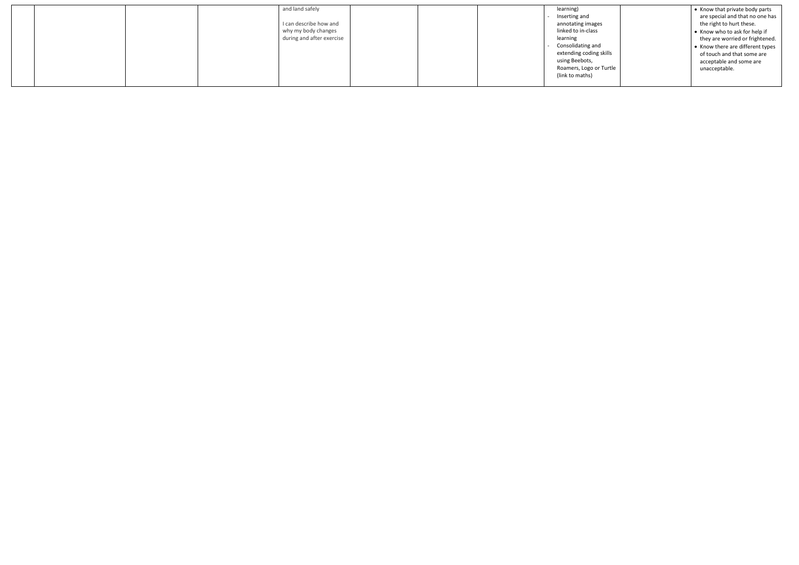| and land safely           |  | learning)               | • Know that private body parts   |
|---------------------------|--|-------------------------|----------------------------------|
|                           |  | Inserting and           | are special and that no one has  |
| I can describe how and    |  | annotating images       | the right to hurt these.         |
| why my body changes       |  | linked to in-class      | • Know who to ask for help if    |
| during and after exercise |  | learning                | they are worried or frightened.  |
|                           |  | Consolidating and       | • Know there are different types |
|                           |  | extending coding skills | of touch and that some are       |
|                           |  | using Beebots,          | acceptable and some are          |
|                           |  | Roamers, Logo or Turtle | unacceptable.                    |
|                           |  | (link to maths)         |                                  |
|                           |  |                         |                                  |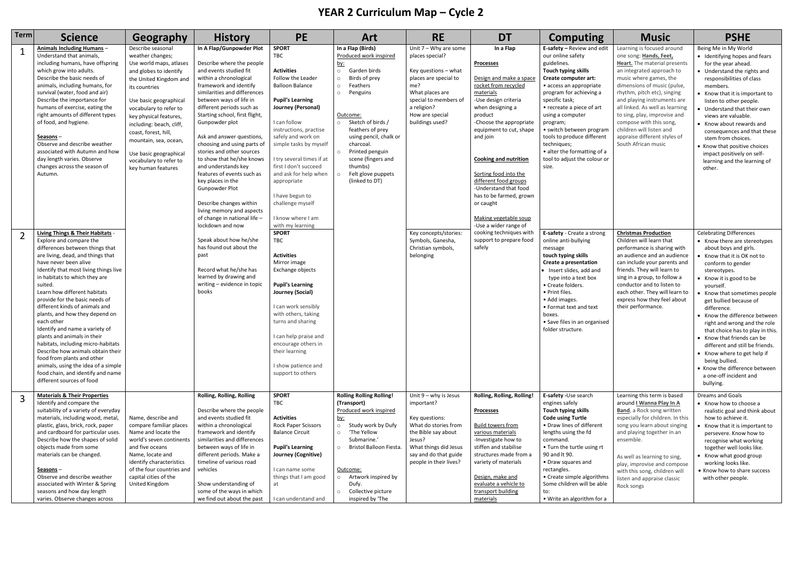## **YEAR 2 Curriculum Map – Cycle 2**

| <b>Term</b>    | <b>Science</b>                                                                                                                                                                                                                                                                                                                                                                                                                                                                                                                                                                                                                                                                                      | Geography                                                                                                                                                                                                                                                                                                                                                                  | <b>History</b>                                                                                                                                                                                                                                                                                                                                                                                                                                                                                                                                                                                                | <b>PE</b>                                                                                                                                                                                                                                                                                                                                                                                                        | Art                                                                                                                                                                                                                                                                                                                                                                          | <b>RE</b>                                                                                                                                                                                           | <b>DT</b>                                                                                                                                                                                                                                                                                                                                                                                                                   | <b>Computing</b>                                                                                                                                                                                                                                                                                                                                                                                    | <b>Music</b>                                                                                                                                                                                                                                                                                                                                                                                                              | <b>PSHE</b>                                                                                                                                                                                                                                                                                                                                                                                                                                                                                                                                                                 |
|----------------|-----------------------------------------------------------------------------------------------------------------------------------------------------------------------------------------------------------------------------------------------------------------------------------------------------------------------------------------------------------------------------------------------------------------------------------------------------------------------------------------------------------------------------------------------------------------------------------------------------------------------------------------------------------------------------------------------------|----------------------------------------------------------------------------------------------------------------------------------------------------------------------------------------------------------------------------------------------------------------------------------------------------------------------------------------------------------------------------|---------------------------------------------------------------------------------------------------------------------------------------------------------------------------------------------------------------------------------------------------------------------------------------------------------------------------------------------------------------------------------------------------------------------------------------------------------------------------------------------------------------------------------------------------------------------------------------------------------------|------------------------------------------------------------------------------------------------------------------------------------------------------------------------------------------------------------------------------------------------------------------------------------------------------------------------------------------------------------------------------------------------------------------|------------------------------------------------------------------------------------------------------------------------------------------------------------------------------------------------------------------------------------------------------------------------------------------------------------------------------------------------------------------------------|-----------------------------------------------------------------------------------------------------------------------------------------------------------------------------------------------------|-----------------------------------------------------------------------------------------------------------------------------------------------------------------------------------------------------------------------------------------------------------------------------------------------------------------------------------------------------------------------------------------------------------------------------|-----------------------------------------------------------------------------------------------------------------------------------------------------------------------------------------------------------------------------------------------------------------------------------------------------------------------------------------------------------------------------------------------------|---------------------------------------------------------------------------------------------------------------------------------------------------------------------------------------------------------------------------------------------------------------------------------------------------------------------------------------------------------------------------------------------------------------------------|-----------------------------------------------------------------------------------------------------------------------------------------------------------------------------------------------------------------------------------------------------------------------------------------------------------------------------------------------------------------------------------------------------------------------------------------------------------------------------------------------------------------------------------------------------------------------------|
| $\mathbf{1}$   | Animals Including Humans-<br>Understand that animals,<br>including humans, have offspring<br>which grow into adults.<br>Describe the basic needs of<br>animals, including humans, for<br>survival (water, food and air)<br>Describe the importance for<br>humans of exercise, eating the<br>right amounts of different types<br>of food, and hygiene.<br>Seasons-<br>Observe and describe weather<br>associated with Autumn and how<br>day length varies. Observe<br>changes across the season of<br>Autumn.                                                                                                                                                                                        | Describe seasonal<br>weather changes;<br>Use world maps, atlases<br>and globes to identify<br>the United Kingdom and<br>its countries<br>Use basic geographical<br>vocabulary to refer to<br>key physical features,<br>including: beach, cliff,<br>coast, forest, hill,<br>mountain, sea, ocean,<br>Use basic geographical<br>vocabulary to refer to<br>key human features | In A Flap/Gunpowder Plot<br>Describe where the people<br>and events studied fit<br>within a chronological<br>framework and identify<br>similarities and differences<br>between ways of life in<br>different periods such as<br>Starting school, first flight,<br>Gunpowder plot<br>Ask and answer questions,<br>choosing and using parts of<br>stories and other sources<br>to show that he/she knows<br>and understands key<br>features of events such as<br>key places in the<br>Gunpowder Plot<br>Describe changes within<br>living memory and aspects<br>of change in national life -<br>lockdown and now | <b>SPORT</b><br>TBC<br><b>Activities</b><br>Follow the Leader<br><b>Balloon Balance</b><br><b>Pupil's Learning</b><br>Journey (Personal)<br>I can follow<br>instructions, practise<br>safely and work on<br>simple tasks by myself<br>I try several times if at<br>first I don't succeed<br>and ask for help when<br>appropriate<br>I have begun to<br>challenge myself<br>I know where I am<br>with my learning | In a Flap (Birds)<br>Produced work inspired<br><u>by:</u><br>Garden birds<br>$\circ$<br>Birds of prey<br>$\circ$<br>Feathers<br>$\circ$<br>Penguins<br>$\circ$<br>Outcome:<br>Sketch of birds /<br>$\circ$<br>feathers of prey<br>using pencil, chalk or<br>charcoal.<br>Printed penguin<br>$\circ$<br>scene (fingers and<br>thumbs)<br>Felt glove puppets<br>(linked to DT) | Unit $7 - Why$ are some<br>places special?<br>Key questions – what<br>places are special to<br>me?<br>What places are<br>special to members of<br>a religion?<br>How are special<br>buildings used? | In a Flap<br><b>Processes</b><br>Design and make a space<br>rocket from recycled<br>materials<br>-Use design criteria<br>when designing a<br>product<br>-Choose the appropriate<br>equipment to cut, shape<br>and join<br><b>Cooking and nutrition</b><br>Sorting food into the<br>different food groups<br>-Understand that food<br>has to be farmed, grown<br>or caught<br>Making vegetable soup<br>-Use a wider range of | E-safety - Review and edit<br>our online safety<br>guidelines.<br>Touch typing skills<br>Create computer art:<br>• access an appropriate<br>program for achieving a<br>specific task;<br>• recreate a piece of art<br>using a computer<br>program;<br>• switch between program<br>tools to produce different<br>techniques;<br>• alter the formatting of a<br>tool to adjust the colour or<br>size. | Learning is focused around<br>one song: Hands, Feet,<br>Heart. The material presents<br>an integrated approach to<br>music where games, the<br>dimensions of music (pulse,<br>rhythm, pitch etc), singing<br>and playing instruments are<br>all linked. As well as learning<br>to sing, play, improvise and<br>compose with this song,<br>children will listen and<br>appraise different styles of<br>South African music | Being Me in My World<br>• Identifying hopes and fears<br>for the year ahead.<br>• Understand the rights and<br>responsibilities of class<br>members.<br>• Know that it is important to<br>listen to other people.<br>• Understand that their own<br>views are valuable.<br>• Know about rewards and<br>consequences and that these<br>stem from choices.<br>• Know that positive choices<br>impact positively on self-<br>learning and the learning of<br>other.                                                                                                            |
| $\overline{2}$ | <b>Living Things &amp; Their Habitats -</b><br>Explore and compare the<br>differences between things that<br>are living, dead, and things that<br>have never been alive<br>Identify that most living things live<br>in habitats to which they are<br>suited.<br>Learn how different habitats<br>provide for the basic needs of<br>different kinds of animals and<br>plants, and how they depend on<br>each other<br>Identify and name a variety of<br>plants and animals in their<br>habitats, including micro-habitats<br>Describe how animals obtain their<br>food from plants and other<br>animals, using the idea of a simple<br>food chain, and identify and name<br>different sources of food |                                                                                                                                                                                                                                                                                                                                                                            | Speak about how he/she<br>has found out about the<br>past<br>Record what he/she has<br>learned by drawing and<br>writing - evidence in topic<br>books                                                                                                                                                                                                                                                                                                                                                                                                                                                         | <b>SPORT</b><br>TBC<br><b>Activities</b><br>Mirror image<br>Exchange objects<br><b>Pupil's Learning</b><br>Journey (Social)<br>I can work sensibly<br>with others, taking<br>turns and sharing<br>I can help praise and<br>encourage others in<br>their learning<br>I show patience and<br>support to others                                                                                                     |                                                                                                                                                                                                                                                                                                                                                                              | Key concepts/stories:<br>Symbols, Ganesha,<br>Christian symbols,<br>belonging                                                                                                                       | cooking techniques with<br>support to prepare food<br>safely                                                                                                                                                                                                                                                                                                                                                                | E-safety - Create a strong<br>online anti-bullying<br>message<br>touch typing skills<br>Create a presentation<br>• Insert slides, add and<br>type into a text box<br>• Create folders.<br>• Print files.<br>• Add images.<br>• Format text and text<br>boxes.<br>• Save files in an organised<br>folder structure.                                                                                  | <b>Christmas Production</b><br>Children will learn that<br>performance is sharing with<br>an audience and an audience<br>can include your parents and<br>friends. They will learn to<br>sing in a group, to follow a<br>conductor and to listen to<br>each other. They will learn to<br>express how they feel about<br>their performance.                                                                                 | <b>Celebrating Differences</b><br>• Know there are stereotypes<br>about boys and girls.<br>• Know that it is OK not to<br>conform to gender<br>stereotypes.<br>• Know it is good to be<br>vourself.<br>• Know that sometimes people<br>get bullied because of<br>difference.<br>• Know the difference between<br>right and wrong and the role<br>that choice has to play in this.<br>• Know that friends can be<br>different and still be friends.<br>• Know where to get help if<br>being bullied.<br>• Know the difference between<br>a one-off incident and<br>bullying. |
| 3              | <b>Materials &amp; Their Properties</b><br>Identify and compare the<br>suitability of a variety of everyday<br>materials, including wood, metal,<br>plastic, glass, brick, rock, paper<br>and cardboard for particular uses.<br>Describe how the shapes of solid<br>objects made from some<br>materials can be changed.<br>Seasons –<br>Observe and describe weather<br>associated with Winter & Spring<br>seasons and how day length<br>varies. Observe changes across                                                                                                                                                                                                                             | Name, describe and<br>compare familiar places<br>Name and locate the<br>world's seven continents<br>and five oceans<br>Name, locate and<br>identify characteristics<br>of the four countries and<br>capital cities of the<br>United Kingdom                                                                                                                                | Rolling, Rolling, Rolling<br>Describe where the people<br>and events studied fit<br>within a chronological<br>framework and identify<br>similarities and differences<br>between ways of life in<br>different periods. Make a<br>timeline of various road<br>vehicles<br>Show understanding of<br>some of the ways in which<br>we find out about the past                                                                                                                                                                                                                                                      | <b>SPORT</b><br><b>TBC</b><br><b>Activities</b><br>Rock Paper Scissors<br><b>Balance Circuit</b><br><b>Pupil's Learning</b><br>Journey (Cognitive)<br>I can name some<br>things that I am good<br>at<br>I can understand and                                                                                                                                                                                     | <b>Rolling Rolling Rolling!</b><br>(Transport)<br>Produced work inspired<br><u>by:</u><br>Study work by Dufy<br>$\circ$<br>'The Yellow<br>$\circ$<br>Submarine.'<br>Bristol Balloon Fiesta.<br>$\circ$<br>Outcome:<br>Artwork inspired by<br>$\circ$<br>Dufy.<br>Collective picture<br>$\circ$<br>inspired by 'The                                                           | Unit $9 - why$ is Jesus<br>important?<br>Key questions:<br>What do stories from<br>the Bible say about<br>Jesus?<br>What things did Jesus<br>say and do that guide<br>people in their lives?        | Rolling, Rolling, Rolling!<br><b>Processes</b><br><b>Build towers from</b><br>various materials<br>-Investigate how to<br>stiffen and stabilise<br>structures made from a<br>variety of materials<br>Design, make and<br>evaluate a vehicle to<br>transport building<br>materials                                                                                                                                           | E-safety -Use search<br>engines safely<br>Touch typing skills<br><b>Code using Turtle</b><br>• Draw lines of different<br>lengths using the fd<br>command.<br>• Turn the turtle using rt<br>90 and It 90.<br>• Draw squares and<br>rectangles.<br>• Create simple algorithms<br>Some children will be able<br>to:<br>• Write an algorithm for a                                                     | Learning this term is based<br>around I Wanna Play In A<br><b>Band</b> , a Rock song written<br>especially for children. In this<br>song you learn about singing<br>and playing together in an<br>ensemble.<br>As well as learning to sing,<br>play, improvise and compose<br>with this song, children will<br>listen and appraise classic<br>Rock songs                                                                  | <b>Dreams and Goals</b><br>• Know how to choose a<br>realistic goal and think about<br>how to achieve it.<br>• Know that it is important to<br>persevere. Know how to<br>recognise what working<br>together well looks like.<br>• Know what good group<br>working looks like.<br>• Know how to share success<br>with other people.                                                                                                                                                                                                                                          |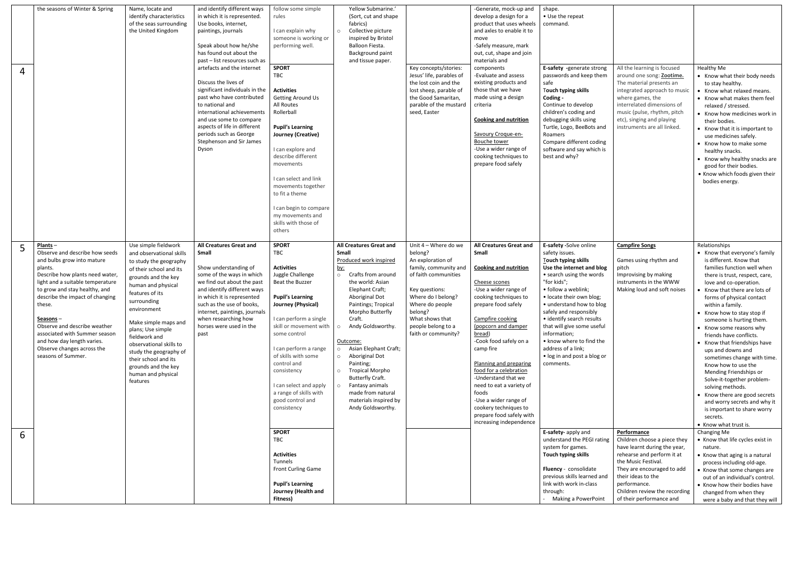| $\overline{4}$ | the seasons of Winter & Spring                                                                                                                                                                                                                                                                                                                                                                                    | Name, locate and<br>identify characteristics<br>of the seas surrounding<br>the United Kingdom                                                                                                                                                                                                                                                                                                           | and identify different ways<br>in which it is represented.<br>Use books, internet,<br>paintings, journals<br>Speak about how he/she<br>has found out about the<br>past - list resources such as<br>artefacts and the internet<br>Discuss the lives of<br>significant individuals in the<br>past who have contributed<br>to national and<br>international achievements<br>and use some to compare<br>aspects of life in different<br>periods such as George<br>Stephenson and Sir James<br>Dyson | follow some simple<br>rules<br>I can explain why<br>someone is working or<br>performing well.<br><b>SPORT</b><br>TBC<br><b>Activities</b><br><b>Getting Around Us</b><br>All Routes<br>Rollerball<br><b>Pupil's Learning</b><br>Journey (Creative)<br>I can explore and<br>describe different<br>movements<br>I can select and link<br>movements together<br>to fit a theme | Yellow Submarine.'<br>(Sort, cut and shape)<br>fabrics)<br>Collective picture<br>$\Omega$<br>inspired by Bristol<br>Balloon Fiesta.<br>Background paint<br>and tissue paper.                                                                                                                                                                                                                                                                                                                        | Key concepts/stories:<br>Jesus' life, parables of<br>the lost coin and the<br>lost sheep, parable of<br>the Good Samaritan,<br>parable of the mustard<br>seed, Easter                                                                       | -Generate, mock-up and<br>develop a design for a<br>product that uses wheels<br>and axles to enable it to<br>move<br>-Safely measure, mark<br>out, cut, shape and join<br>materials and<br>components<br>-Evaluate and assess<br>existing products and<br>those that we have<br>made using a design<br>criteria<br><b>Cooking and nutrition</b><br>Savoury Croque-en-<br><b>Bouche tower</b><br>-Use a wider range of<br>cooking techniques to<br>prepare food safely                  | shape.<br>• Use the repeat<br>command.<br>E-safety -generate strong<br>passwords and keep them<br>safe<br>Touch typing skills<br>Coding -<br>Continue to develop<br>children's coding and<br>debugging skills using<br>Turtle, Logo, BeeBots and<br>Roamers<br>Compare different coding<br>software and say which is<br>best and why?                                                                                     | All the learning is focused<br>around one song: Zootime.<br>The material presents an<br>integrated approach to music<br>where games, the<br>interrelated dimensions of<br>music (pulse, rhythm, pitch<br>etc), singing and playing<br>instruments are all linked. | Healthy Me<br>• Know what their body needs<br>to stay healthy.<br>• Know what relaxed means.<br>• Know what makes them feel<br>relaxed / stressed.<br>• Know how medicines work in<br>their bodies.<br>• Know that it is important to<br>use medicines safely.<br>• Know how to make some<br>healthy snacks.<br>• Know why healthy snacks are<br>good for their bodies.<br>• Know which foods given their<br>bodies energy.                                                                                                                                                                                                                                                                        |
|----------------|-------------------------------------------------------------------------------------------------------------------------------------------------------------------------------------------------------------------------------------------------------------------------------------------------------------------------------------------------------------------------------------------------------------------|---------------------------------------------------------------------------------------------------------------------------------------------------------------------------------------------------------------------------------------------------------------------------------------------------------------------------------------------------------------------------------------------------------|-------------------------------------------------------------------------------------------------------------------------------------------------------------------------------------------------------------------------------------------------------------------------------------------------------------------------------------------------------------------------------------------------------------------------------------------------------------------------------------------------|-----------------------------------------------------------------------------------------------------------------------------------------------------------------------------------------------------------------------------------------------------------------------------------------------------------------------------------------------------------------------------|-----------------------------------------------------------------------------------------------------------------------------------------------------------------------------------------------------------------------------------------------------------------------------------------------------------------------------------------------------------------------------------------------------------------------------------------------------------------------------------------------------|---------------------------------------------------------------------------------------------------------------------------------------------------------------------------------------------------------------------------------------------|----------------------------------------------------------------------------------------------------------------------------------------------------------------------------------------------------------------------------------------------------------------------------------------------------------------------------------------------------------------------------------------------------------------------------------------------------------------------------------------|---------------------------------------------------------------------------------------------------------------------------------------------------------------------------------------------------------------------------------------------------------------------------------------------------------------------------------------------------------------------------------------------------------------------------|-------------------------------------------------------------------------------------------------------------------------------------------------------------------------------------------------------------------------------------------------------------------|----------------------------------------------------------------------------------------------------------------------------------------------------------------------------------------------------------------------------------------------------------------------------------------------------------------------------------------------------------------------------------------------------------------------------------------------------------------------------------------------------------------------------------------------------------------------------------------------------------------------------------------------------------------------------------------------------|
|                |                                                                                                                                                                                                                                                                                                                                                                                                                   |                                                                                                                                                                                                                                                                                                                                                                                                         |                                                                                                                                                                                                                                                                                                                                                                                                                                                                                                 | I can begin to compare<br>my movements and<br>skills with those of<br>others                                                                                                                                                                                                                                                                                                |                                                                                                                                                                                                                                                                                                                                                                                                                                                                                                     |                                                                                                                                                                                                                                             |                                                                                                                                                                                                                                                                                                                                                                                                                                                                                        |                                                                                                                                                                                                                                                                                                                                                                                                                           |                                                                                                                                                                                                                                                                   |                                                                                                                                                                                                                                                                                                                                                                                                                                                                                                                                                                                                                                                                                                    |
| 5              | $Plants -$<br>Observe and describe how seeds<br>and bulbs grow into mature<br>plants.<br>Describe how plants need water,<br>light and a suitable temperature<br>to grow and stay healthy, and<br>describe the impact of changing<br>these.<br><u>Seasons</u> –<br>Observe and describe weather<br>associated with Summer season<br>and how day length varies.<br>Observe changes across the<br>seasons of Summer. | Use simple fieldwork<br>and observational skills<br>to study the geography<br>of their school and its<br>grounds and the key<br>human and physical<br>features of its<br>surrounding<br>environment<br>Make simple maps and<br>plans; Use simple<br>fieldwork and<br>observational skills to<br>study the geography of<br>their school and its<br>grounds and the key<br>human and physical<br>features | All Creatures Great and<br>Small<br>Show understanding of<br>some of the ways in which<br>we find out about the past<br>and identify different ways<br>in which it is represented<br>such as the use of books,<br>internet, paintings, journals<br>when researching how<br>horses were used in the<br>past                                                                                                                                                                                      | <b>SPORT</b><br>TBC<br><b>Activities</b><br>Juggle Challenge<br>Beat the Buzzer<br><b>Pupil's Learning</b><br>Journey (Physical)<br>I can perform a single<br>skill or movement with<br>some control<br>I can perform a range<br>of skills with some<br>control and<br>consistency<br>I can select and apply<br>a range of skills with<br>good control and<br>consistency   | All Creatures Great and<br><b>Small</b><br>Produced work inspired<br><u>by:</u><br>Crafts from around<br>$\circ$<br>the world: Asian<br>Elephant Craft;<br>Aboriginal Dot<br>Paintings; Tropical<br>Morpho Butterfly<br>Craft.<br>Andy Goldsworthy.<br>Outcome:<br>Asian Elephant Craft;<br>$\circ$<br>Aboriginal Dot<br>$\circ$<br>Painting;<br><b>Tropical Morpho</b><br>$\circ$<br><b>Butterfly Craft.</b><br>Fantasy animals<br>made from natural<br>materials inspired by<br>Andy Goldsworthy. | Unit 4 - Where do we<br>belong?<br>An exploration of<br>family, community and<br>of faith communities<br>Key questions:<br>Where do I belong?<br>Where do people<br>belong?<br>What shows that<br>people belong to a<br>faith or community? | <b>All Creatures Great and</b><br>Small<br><b>Cooking and nutrition</b><br>Cheese scones<br>-Use a wider range of<br>cooking techniques to<br>prepare food safely<br>Campfire cooking<br>(popcorn and damper<br>bread)<br>-Cook food safely on a<br>camp fire<br>Planning and preparing<br>food for a celebration<br>-Understand that we<br>need to eat a variety of<br>foods<br>-Use a wider range of<br>cookery techniques to<br>prepare food safely with<br>increasing independence | E-safety -Solve online<br>safety issues.<br>Touch typing skills<br>Use the internet and blog<br>• search using the words<br>"for kids";<br>• follow a weblink;<br>• locate their own blog;<br>• understand how to blog<br>safely and responsibly<br>· identify search results<br>that will give some useful<br>information;<br>• know where to find the<br>address of a link;<br>. log in and post a blog or<br>comments. | <b>Campfire Songs</b><br>Games using rhythm and<br>pitch<br>Improvising by making<br>instruments in the WWW<br>Making loud and soft noises                                                                                                                        | Relationships<br>• Know that everyone's family<br>is different. Know that<br>families function well when<br>there is trust, respect, care,<br>love and co-operation.<br>• Know that there are lots of<br>forms of physical contact<br>within a family.<br>• Know how to stay stop if<br>someone is hurting them.<br>• Know some reasons why<br>friends have conflicts.<br>• Know that friendships have<br>ups and downs and<br>sometimes change with time.<br>Know how to use the<br>Mending Friendships or<br>Solve-it-together problem-<br>solving methods.<br>• Know there are good secrets<br>and worry secrets and why it<br>is important to share worry<br>secrets.<br>• Know what trust is. |
| 6              |                                                                                                                                                                                                                                                                                                                                                                                                                   |                                                                                                                                                                                                                                                                                                                                                                                                         |                                                                                                                                                                                                                                                                                                                                                                                                                                                                                                 | <b>SPORT</b><br>TBC<br><b>Activities</b>                                                                                                                                                                                                                                                                                                                                    |                                                                                                                                                                                                                                                                                                                                                                                                                                                                                                     |                                                                                                                                                                                                                                             |                                                                                                                                                                                                                                                                                                                                                                                                                                                                                        | E-safety- apply and<br>understand the PEGI rating<br>system for games.<br>Touch typing skills                                                                                                                                                                                                                                                                                                                             | Performance<br>Children choose a piece they<br>have learnt during the year,<br>rehearse and perform it at                                                                                                                                                         | Changing Me<br>• Know that life cycles exist in<br>nature.                                                                                                                                                                                                                                                                                                                                                                                                                                                                                                                                                                                                                                         |
|                |                                                                                                                                                                                                                                                                                                                                                                                                                   |                                                                                                                                                                                                                                                                                                                                                                                                         |                                                                                                                                                                                                                                                                                                                                                                                                                                                                                                 | Tunnels<br>Front Curling Game<br><b>Pupil's Learning</b><br>Journey (Health and<br>Fitness)                                                                                                                                                                                                                                                                                 |                                                                                                                                                                                                                                                                                                                                                                                                                                                                                                     |                                                                                                                                                                                                                                             |                                                                                                                                                                                                                                                                                                                                                                                                                                                                                        | Fluency - consolidate<br>previous skills learned and<br>link with work in-class<br>through:<br>Making a PowerPoint                                                                                                                                                                                                                                                                                                        | the Music Festival.<br>They are encouraged to add<br>their ideas to the<br>performance.<br>Children review the recording<br>of their performance and                                                                                                              | • Know that aging is a natural<br>process including old-age.<br>• Know that some changes are<br>out of an individual's control.<br>• Know how their bodies have<br>changed from when they<br>were a baby and that they will                                                                                                                                                                                                                                                                                                                                                                                                                                                                        |